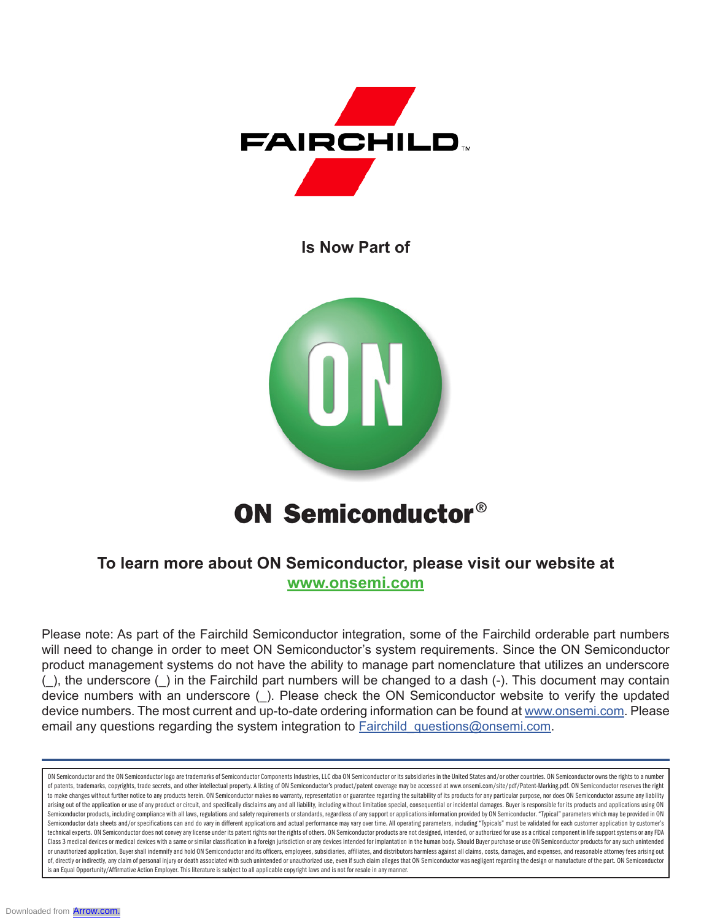

**Is Now Part of**



# **ON Semiconductor®**

### **To learn more about ON Semiconductor, please visit our website at www.onsemi.com**

Please note: As part of the Fairchild Semiconductor integration, some of the Fairchild orderable part numbers will need to change in order to meet ON Semiconductor's system requirements. Since the ON Semiconductor product management systems do not have the ability to manage part nomenclature that utilizes an underscore (\_), the underscore (\_) in the Fairchild part numbers will be changed to a dash (-). This document may contain device numbers with an underscore (\_). Please check the ON Semiconductor website to verify the updated device numbers. The most current and up-to-date ordering information can be found at www.onsemi.com. Please email any questions regarding the system integration to **Fairchild** questions@onsemi.com.

ON Semiconductor and the ON Semiconductor logo are trademarks of Semiconductor Components Industries, LLC dba ON Semiconductor or its subsidiaries in the United States and/or other countries. ON Semiconductor owns the righ of patents, trademarks, copyrights, trade secrets, and other intellectual property. A listing of ON Semiconductor's product/patent coverage may be accessed at www.onsemi.com/site/pdf/Patent-Marking.pdf. ON Semiconductor re to make changes without further notice to any products herein. ON Semiconductor makes no warranty, representation or guarantee regarding the suitability of its products for any particular purpose, nor does ON Semiconductor arising out of the application or use of any product or circuit, and specifically disclaims any and all liability, including without limitation special, consequential or incidental damages. Buyer is responsible for its pro Semiconductor products, including compliance with all laws, regulations and safety requirements or standards, regardless of any support or applications information provided by ON Semiconductor. "Typical" parameters which m Semiconductor data sheets and/or specifications can and do vary in different applications and actual performance may vary over time. All operating parameters, including "Typicals" must be validated for each customer applic technical experts. ON Semiconductor does not convey any license under its patent rights nor the rights of others. ON Semiconductor products are not designed, intended, or authorized for use as a critical component in life Class 3 medical devices or medical devices with a same or similar classification in a foreign jurisdiction or any devices intended for implantation in the human body. Should Buyer purchase or use ON Semiconductor products or unauthorized application, Buyer shall indemnify and hold ON Semiconductor and its officers, employees, subsidiaries, affiliates, and distributors harmless against all claims, costs, damages, and expenses, and reasonable of, directly or indirectly, any claim of personal injury or death associated with such unintended or unauthorized use, even if such claim alleges that ON Semiconductor was negligent regarding the design or manufacture of t is an Equal Opportunity/Affirmative Action Employer. This literature is subject to all applicable copyright laws and is not for resale in any manner.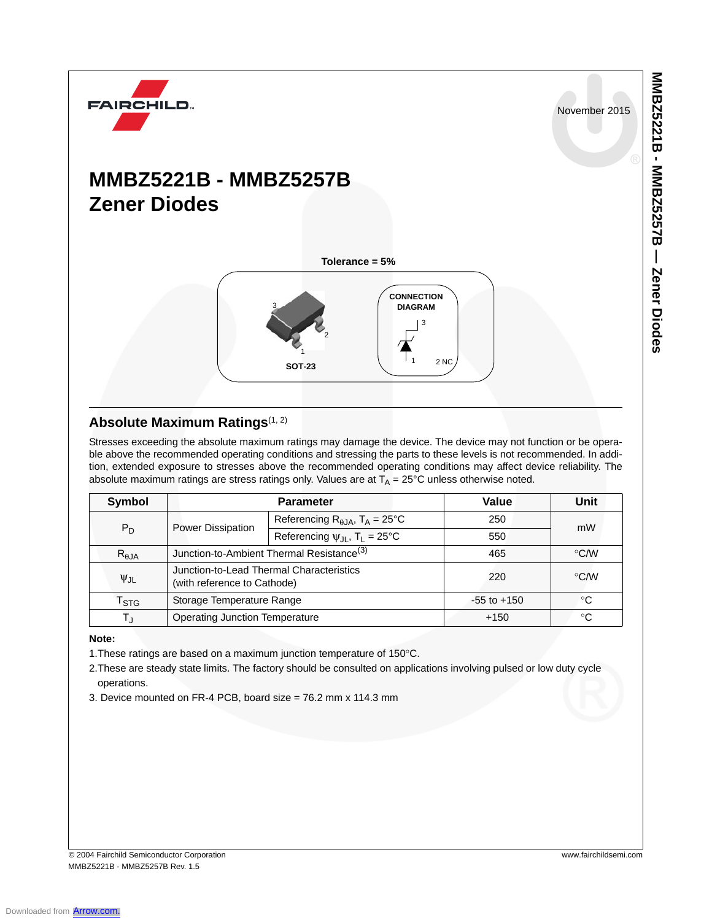November 2015

**MMBZ5221B - MMBZ5257B — Zener Diodes**

MMBZ52321B - MMBZ52525 - Nener Diodes

## **MMBZ5221B - MMBZ5257B Zener Diodes**

**FAIRCHILD** 



#### **Absolute Maximum Ratings**(1, 2)

Stresses exceeding the absolute maximum ratings may damage the device. The device may not function or be operable above the recommended operating conditions and stressing the parts to these levels is not recommended. In addition, extended exposure to stresses above the recommended operating conditions may affect device reliability. The absolute maximum ratings are stress ratings only. Values are at  $T_A = 25^{\circ}$ C unless otherwise noted.

| Symbol                      |                                                                         | <b>Parameter</b>                                       | Value           | Unit            |  |
|-----------------------------|-------------------------------------------------------------------------|--------------------------------------------------------|-----------------|-----------------|--|
| $P_D$                       | Power Dissipation                                                       | Referencing $R_{\theta, JA}$ , $T_A = 25^{\circ}C$     | 250             | mW              |  |
|                             |                                                                         | Referencing $\psi_{\text{JI}}$ , T <sub>1</sub> = 25°C | 550             |                 |  |
| $R_{\theta$ JA              |                                                                         | Junction-to-Ambient Thermal Resistance <sup>(3)</sup>  | 465             | $\mathrm{C}$ /W |  |
| $\Psi$ JL                   | Junction-to-Lead Thermal Characteristics<br>(with reference to Cathode) |                                                        | 220             | °C⁄W            |  |
| $\mathsf{T}_{\textsf{STG}}$ | Storage Temperature Range                                               |                                                        | $-55$ to $+150$ | °C              |  |
| Т.,                         | <b>Operating Junction Temperature</b>                                   |                                                        | $+150$          | °C              |  |

#### **Note:**

1.These ratings are based on a maximum junction temperature of 150°C.

2.These are steady state limits. The factory should be consulted on applications involving pulsed or low duty cycle operations.

3. Device mounted on FR-4 PCB, board size = 76.2 mm x 114.3 mm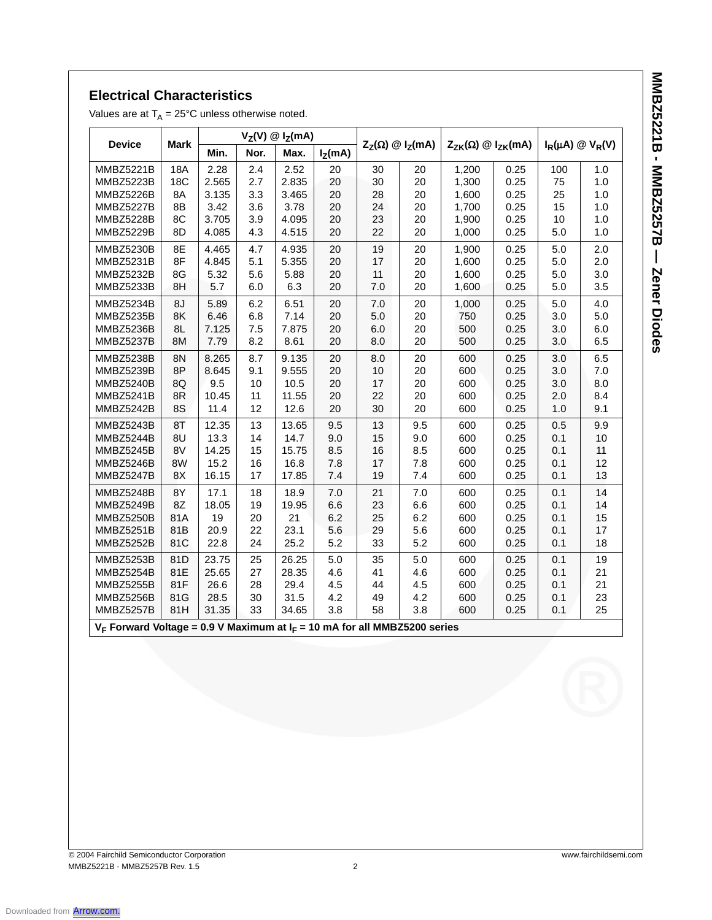# **MNBZ5221B - MMBZ5257B - Zener Diodes MMBZ5221B - MMBZ5257B — Zener Diodes**

#### **Electrical Characteristics**

Values are at  $T_A = 25^{\circ}$ C unless otherwise noted.

| <b>Device</b>    | <b>Mark</b> | $V_Z(V)$ @ $I_Z(mA)$ |      |       |           |                                   |     |                                     |      |                             |     |
|------------------|-------------|----------------------|------|-------|-----------|-----------------------------------|-----|-------------------------------------|------|-----------------------------|-----|
|                  |             | Min.                 | Nor. | Max.  | $I_Z(mA)$ | $Z_{Z}(\Omega) \otimes I_{Z}(mA)$ |     | $Z_{ZK}(\Omega) \otimes I_{ZK}(mA)$ |      | $I_R(\mu A) \otimes V_R(V)$ |     |
| MMBZ5221B        | <b>18A</b>  | 2.28                 | 2.4  | 2.52  | 20        | 30                                | 20  | 1,200                               | 0.25 | 100                         | 1.0 |
| <b>MMBZ5223B</b> | <b>18C</b>  | 2.565                | 2.7  | 2.835 | 20        | 30                                | 20  | 1,300                               | 0.25 | 75                          | 1.0 |
| MMBZ5226B        | 8A          | 3.135                | 3.3  | 3.465 | 20        | 28                                | 20  | 1,600                               | 0.25 | 25                          | 1.0 |
| MMBZ5227B        | 8B          | 3.42                 | 3.6  | 3.78  | 20        | 24                                | 20  | 1,700                               | 0.25 | 15                          | 1.0 |
| MMBZ5228B        | 8C          | 3.705                | 3.9  | 4.095 | 20        | 23                                | 20  | 1,900                               | 0.25 | 10                          | 1.0 |
| MMBZ5229B        | 8D          | 4.085                | 4.3  | 4.515 | 20        | 22                                | 20  | 1,000                               | 0.25 | 5.0                         | 1.0 |
| MMBZ5230B        | 8E          | 4.465                | 4.7  | 4.935 | 20        | 19                                | 20  | 1,900                               | 0.25 | 5.0                         | 2.0 |
| MMBZ5231B        | 8F          | 4.845                | 5.1  | 5.355 | 20        | 17                                | 20  | 1,600                               | 0.25 | 5.0                         | 2.0 |
| MMBZ5232B        | 8G          | 5.32                 | 5.6  | 5.88  | 20        | 11                                | 20  | 1,600                               | 0.25 | 5.0                         | 3.0 |
| MMBZ5233B        | 8H          | 5.7                  | 6.0  | 6.3   | 20        | 7.0                               | 20  | 1,600                               | 0.25 | 5.0                         | 3.5 |
| MMBZ5234B        | 8J          | 5.89                 | 6.2  | 6.51  | 20        | 7.0                               | 20  | 1,000                               | 0.25 | 5.0                         | 4.0 |
| MMBZ5235B        | 8K          | 6.46                 | 6.8  | 7.14  | 20        | 5.0                               | 20  | 750                                 | 0.25 | 3.0                         | 5.0 |
| MMBZ5236B        | 8L          | 7.125                | 7.5  | 7.875 | 20        | 6.0                               | 20  | 500                                 | 0.25 | 3.0                         | 6.0 |
| MMBZ5237B        | 8M          | 7.79                 | 8.2  | 8.61  | 20        | 8.0                               | 20  | 500                                 | 0.25 | 3.0                         | 6.5 |
| MMBZ5238B        | 8N          | 8.265                | 8.7  | 9.135 | 20        | 8.0                               | 20  | 600                                 | 0.25 | 3.0                         | 6.5 |
| MMBZ5239B        | 8P          | 8.645                | 9.1  | 9.555 | 20        | 10                                | 20  | 600                                 | 0.25 | 3.0                         | 7.0 |
| MMBZ5240B        | 8Q          | 9.5                  | 10   | 10.5  | 20        | 17                                | 20  | 600                                 | 0.25 | 3.0                         | 8.0 |
| MMBZ5241B        | 8R          | 10.45                | 11   | 11.55 | 20        | 22                                | 20  | 600                                 | 0.25 | 2.0                         | 8.4 |
| MMBZ5242B        | 8S          | 11.4                 | 12   | 12.6  | 20        | 30                                | 20  | 600                                 | 0.25 | 1.0                         | 9.1 |
| MMBZ5243B        | 8T          | 12.35                | 13   | 13.65 | 9.5       | 13                                | 9.5 | 600                                 | 0.25 | 0.5                         | 9.9 |
| MMBZ5244B        | 8U          | 13.3                 | 14   | 14.7  | 9.0       | 15                                | 9.0 | 600                                 | 0.25 | 0.1                         | 10  |
| MMBZ5245B        | 8V          | 14.25                | 15   | 15.75 | 8.5       | 16                                | 8.5 | 600                                 | 0.25 | 0.1                         | 11  |
| MMBZ5246B        | 8W          | 15.2                 | 16   | 16.8  | 7.8       | 17                                | 7.8 | 600                                 | 0.25 | 0.1                         | 12  |
| MMBZ5247B        | 8X          | 16.15                | 17   | 17.85 | 7.4       | 19                                | 7.4 | 600                                 | 0.25 | 0.1                         | 13  |
| MMBZ5248B        | 8Y          | 17.1                 | 18   | 18.9  | 7.0       | 21                                | 7.0 | 600                                 | 0.25 | 0.1                         | 14  |
| MMBZ5249B        | 8Z          | 18.05                | 19   | 19.95 | 6.6       | 23                                | 6.6 | 600                                 | 0.25 | 0.1                         | 14  |
| MMBZ5250B        | 81A         | 19                   | 20   | 21    | 6.2       | 25                                | 6.2 | 600                                 | 0.25 | 0.1                         | 15  |
| MMBZ5251B        | 81B         | 20.9                 | 22   | 23.1  | 5.6       | 29                                | 5.6 | 600                                 | 0.25 | 0.1                         | 17  |
| MMBZ5252B        | 81C         | 22.8                 | 24   | 25.2  | 5.2       | 33                                | 5.2 | 600                                 | 0.25 | 0.1                         | 18  |
| MMBZ5253B        | 81D         | 23.75                | 25   | 26.25 | 5.0       | 35                                | 5.0 | 600                                 | 0.25 | 0.1                         | 19  |
| MMBZ5254B        | 81E         | 25.65                | 27   | 28.35 | 4.6       | 41                                | 4.6 | 600                                 | 0.25 | 0.1                         | 21  |
| MMBZ5255B        | 81F         | 26.6                 | 28   | 29.4  | 4.5       | 44                                | 4.5 | 600                                 | 0.25 | 0.1                         | 21  |
| MMBZ5256B        | 81G         | 28.5                 | 30   | 31.5  | 4.2       | 49                                | 4.2 | 600                                 | 0.25 | 0.1                         | 23  |
| MMBZ5257B        | 81H         | 31.35                | 33   | 34.65 | 3.8       | 58                                | 3.8 | 600                                 | 0.25 | 0.1                         | 25  |

 $V_F$  Forward Voltage = 0.9 V Maximum at  $I_F$  = 10 mA for all MMBZ5200 series

© 2004 Fairchild Semiconductor Corporation www.fairchildsemi.com MMBZ5221B - MMBZ5257B Rev. 1.5 2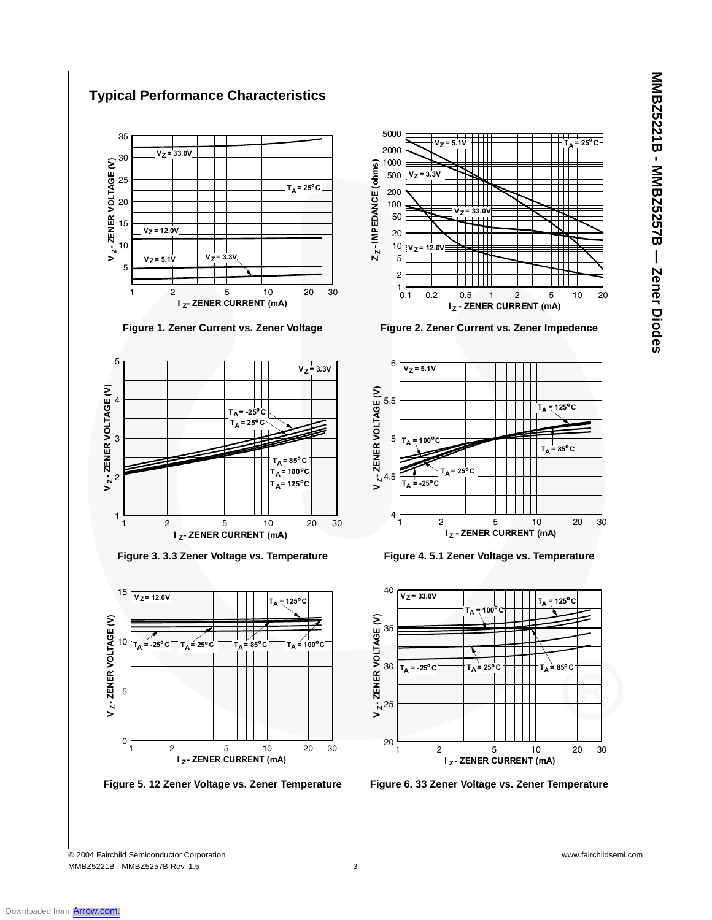

MMBZ52321B - MMBZ5252B - Nener Diodes **MMBZ5221B - MMBZ5257B — Zener Diodes**

© 2004 Fairchild Semiconductor Corporation www.fairchildsemi.com MMBZ5221B - MMBZ5257B Rev. 1.5 3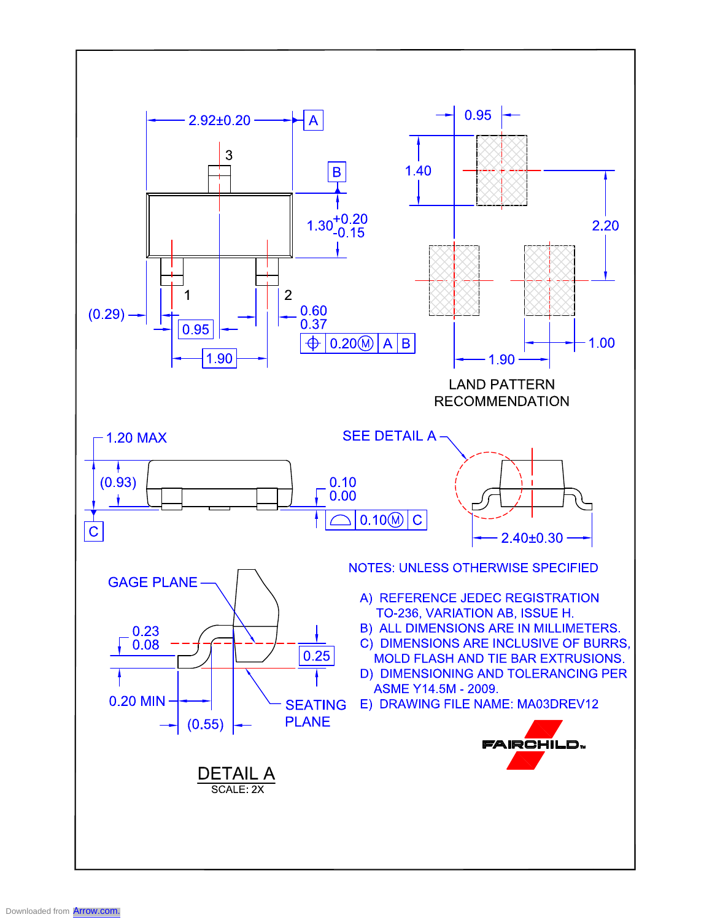